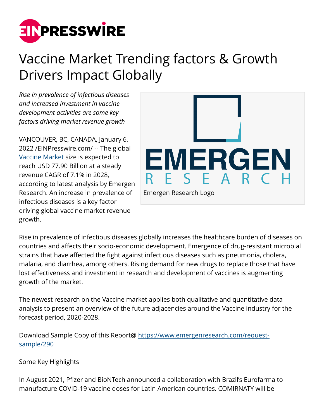

# Vaccine Market Trending factors & Growth Drivers Impact Globally

*Rise in prevalence of infectious diseases and increased investment in vaccine development activities are some key factors driving market revenue growth*

VANCOUVER, BC, CANADA, January 6, 2022 /[EINPresswire.com](http://www.einpresswire.com)/ -- The global [Vaccine Market](https://www.emergenresearch.com/industry-report/vaccine-market) size is expected to reach USD 77.90 Billion at a steady revenue CAGR of 7.1% in 2028, according to latest analysis by Emergen Research. An increase in prevalence of infectious diseases is a key factor driving global vaccine market revenue growth.



Rise in prevalence of infectious diseases globally increases the healthcare burden of diseases on countries and affects their socio-economic development. Emergence of drug-resistant microbial strains that have affected the fight against infectious diseases such as pneumonia, cholera, malaria, and diarrhea, among others. Rising demand for new drugs to replace those that have lost effectiveness and investment in research and development of vaccines is augmenting growth of the market.

The newest research on the Vaccine market applies both qualitative and quantitative data analysis to present an overview of the future adjacencies around the Vaccine industry for the forecast period, 2020-2028.

Download Sample Copy of this Report@ [https://www.emergenresearch.com/request](https://www.emergenresearch.com/request-sample/290)[sample/290](https://www.emergenresearch.com/request-sample/290)

### Some Key Highlights

In August 2021, Pfizer and BioNTech announced a collaboration with Brazil's Eurofarma to manufacture COVID-19 vaccine doses for Latin American countries. COMIRNATY will be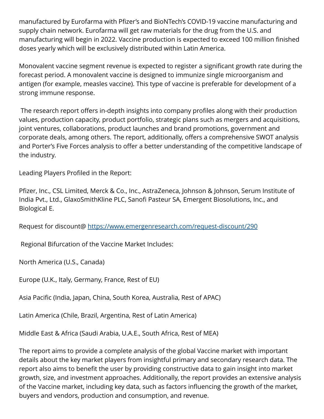manufactured by Eurofarma with Pfizer's and BioNTech's COVID-19 vaccine manufacturing and supply chain network. Eurofarma will get raw materials for the drug from the U.S. and manufacturing will begin in 2022. Vaccine production is expected to exceed 100 million finished doses yearly which will be exclusively distributed within Latin America.

Monovalent vaccine segment revenue is expected to register a significant growth rate during the forecast period. A monovalent vaccine is designed to immunize single microorganism and antigen (for example, measles vaccine). This type of vaccine is preferable for development of a strong immune response.

 The research report offers in-depth insights into company profiles along with their production values, production capacity, product portfolio, strategic plans such as mergers and acquisitions, joint ventures, collaborations, product launches and brand promotions, government and corporate deals, among others. The report, additionally, offers a comprehensive SWOT analysis and Porter's Five Forces analysis to offer a better understanding of the competitive landscape of the industry.

Leading Players Profiled in the Report:

Pfizer, Inc., CSL Limited, Merck & Co., Inc., AstraZeneca, Johnson & Johnson, Serum Institute of India Pvt., Ltd., GlaxoSmithKline PLC, Sanofi Pasteur SA, Emergent Biosolutions, Inc., and Biological E.

Request for discount@ <https://www.emergenresearch.com/request-discount/290>

Regional Bifurcation of the Vaccine Market Includes:

North America (U.S., Canada)

Europe (U.K., Italy, Germany, France, Rest of EU)

Asia Pacific (India, Japan, China, South Korea, Australia, Rest of APAC)

Latin America (Chile, Brazil, Argentina, Rest of Latin America)

Middle East & Africa (Saudi Arabia, U.A.E., South Africa, Rest of MEA)

The report aims to provide a complete analysis of the global Vaccine market with important details about the key market players from insightful primary and secondary research data. The report also aims to benefit the user by providing constructive data to gain insight into market growth, size, and investment approaches. Additionally, the report provides an extensive analysis of the Vaccine market, including key data, such as factors influencing the growth of the market, buyers and vendors, production and consumption, and revenue.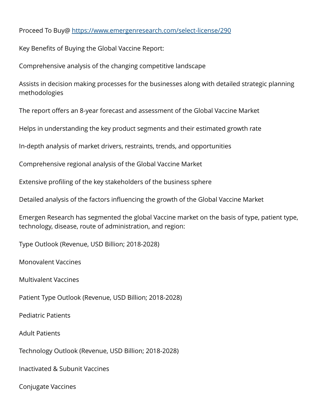#### Proceed To Buy@ <https://www.emergenresearch.com/select-license/290>

Key Benefits of Buying the Global Vaccine Report:

Comprehensive analysis of the changing competitive landscape

Assists in decision making processes for the businesses along with detailed strategic planning methodologies

The report offers an 8-year forecast and assessment of the Global Vaccine Market

Helps in understanding the key product segments and their estimated growth rate

In-depth analysis of market drivers, restraints, trends, and opportunities

Comprehensive regional analysis of the Global Vaccine Market

Extensive profiling of the key stakeholders of the business sphere

Detailed analysis of the factors influencing the growth of the Global Vaccine Market

Emergen Research has segmented the global Vaccine market on the basis of type, patient type, technology, disease, route of administration, and region:

Type Outlook (Revenue, USD Billion; 2018-2028)

Monovalent Vaccines

Multivalent Vaccines

Patient Type Outlook (Revenue, USD Billion; 2018-2028)

Pediatric Patients

Adult Patients

Technology Outlook (Revenue, USD Billion; 2018-2028)

Inactivated & Subunit Vaccines

Conjugate Vaccines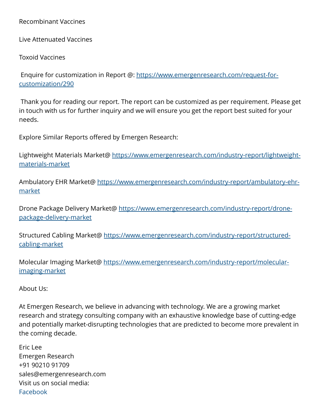#### Recombinant Vaccines

Live Attenuated Vaccines

Toxoid Vaccines

 Enquire for customization in Report @: [https://www.emergenresearch.com/request-for](https://www.emergenresearch.com/request-for-customization/290)[customization/290](https://www.emergenresearch.com/request-for-customization/290)

 Thank you for reading our report. The report can be customized as per requirement. Please get in touch with us for further inquiry and we will ensure you get the report best suited for your needs.

Explore Similar Reports offered by Emergen Research:

Lightweight Materials Market@ [https://www.emergenresearch.com/industry-report/lightweight](https://www.emergenresearch.com/industry-report/lightweight-materials-market)[materials-market](https://www.emergenresearch.com/industry-report/lightweight-materials-market)

Ambulatory EHR Market@ [https://www.emergenresearch.com/industry-report/ambulatory-ehr](https://www.emergenresearch.com/industry-report/ambulatory-ehr-market)[market](https://www.emergenresearch.com/industry-report/ambulatory-ehr-market)

Drone Package Delivery Market@ https://www.emergenresearch.com/industrv-report/drone[package-delivery-market](https://www.emergenresearch.com/industry-report/drone-package-delivery-market)

Structured Cabling Market@ [https://www.emergenresearch.com/industry-report/structured](https://www.emergenresearch.com/industry-report/structured-cabling-market)[cabling-market](https://www.emergenresearch.com/industry-report/structured-cabling-market)

Molecular Imaging Market@ [https://www.emergenresearch.com/industry-report/molecular](https://www.emergenresearch.com/industry-report/molecular-imaging-market)[imaging-market](https://www.emergenresearch.com/industry-report/molecular-imaging-market)

About Us:

At Emergen Research, we believe in advancing with technology. We are a growing market research and strategy consulting company with an exhaustive knowledge base of cutting-edge and potentially market-disrupting technologies that are predicted to become more prevalent in the coming decade.

Eric Lee Emergen Research +91 90210 91709 sales@emergenresearch.com Visit us on social media: [Facebook](https://www.facebook.com/emergenresearch)